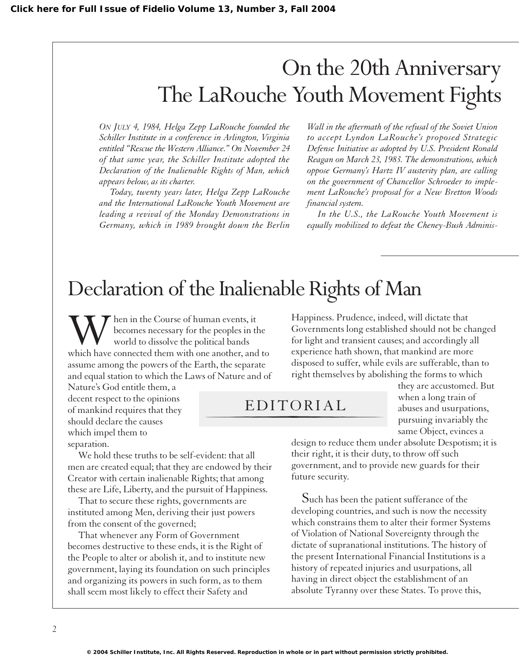# On the 20th Anniversary The LaRouche Youth Movement Fights

*ON JULY 4, 1984, Helga Zepp LaRouche founded the Schiller Institute in a conference in Arlington, Virginia entitled "Rescue the Western Alliance." On November 24 of that same year, the Schiller Institute adopted the Declaration of the Inalienable Rights of Man, which appears below, as its charter.*

*Today, twenty years later, Helga Zepp LaRouche and the International LaRouche Youth Movement are leading a revival of the Monday Demonstrations in Germany, which in 1989 brought down the Berlin*

*Wall in the aftermath of the refusal of the Soviet Union to accept Lyndon LaRouche's proposed Strategic Defense Initiative as adopted by U.S. President Ronald Reagan on March 23, 1983. The demonstrations, which oppose Germany's Hartz IV austerity plan, are calling on the government of Chancellor Schroeder to implement LaRouche's proposal for a New Bretton Woods financial system.*

*In the U.S., the LaRouche Youth Movement is equally mobilized to defeat the Cheney-Bush Adminis-*

## Declaration of the Inalienable Rights of Man

When in the Course of human events, it<br>
world to dissolve the political bands<br>
which have connected them with one another, and to becomes necessary for the peoples in the world to dissolve the political bands assume among the powers of the Earth, the separate and equal station to which the Laws of Nature and of

Nature's God entitle them, a decent respect to the opinions of mankind requires that they should declare the causes which impel them to separation.

We hold these truths to be self-evident: that all men are created equal; that they are endowed by their Creator with certain inalienable Rights; that among these are Life, Liberty, and the pursuit of Happiness.

That to secure these rights, governments are instituted among Men, deriving their just powers from the consent of the governed;

That whenever any Form of Government becomes destructive to these ends, it is the Right of the People to alter or abolish it, and to institute new government, laying its foundation on such principles and organizing its powers in such form, as to them shall seem most likely to effect their Safety and

Happiness. Prudence, indeed, will dictate that Governments long established should not be changed for light and transient causes; and accordingly all experience hath shown, that mankind are more disposed to suffer, while evils are sufferable, than to right themselves by abolishing the forms to which

#### EDITORIAL

they are accustomed. But when a long train of abuses and usurpations, pursuing invariably the same Object, evinces a

design to reduce them under absolute Despotism; it is their right, it is their duty, to throw off such government, and to provide new guards for their future security.

Such has been the patient sufferance of the developing countries, and such is now the necessity which constrains them to alter their former Systems of Violation of National Sovereignty through the dictate of supranational institutions. The history of the present International Financial Institutions is a history of repeated injuries and usurpations, all having in direct object the establishment of an absolute Tyranny over these States. To prove this,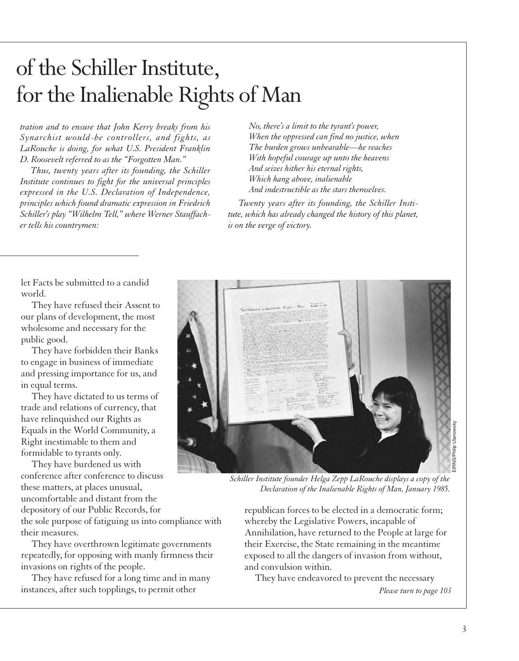# of the Schiller Institute, for the Inalienable Rights of Man

*tration and to ensure that John Kerry breaks from his Synarchist would-be controllers, and fights, as LaRouche is doing, for what U.S. President Franklin D. Roosevelt referred to as the "Forgotten Man."*

*Thus, twenty years after its founding, the Schiller Institute continues to fight for the universal principles expressed in the U.S. Declaration of Independence, principles which found dramatic expression in Friedrich Schiller's play "Wilhelm Tell," where Werner Stauffacher tells his countrymen:*

*No, there's a limit to the tyrant's power, When the oppressed can find no justice, when The burden grows unbearable—he reaches With hopeful courage up unto the heavens And seizes hither his eternal rights, Which hang above, inalienable And indestructible as the stars themselves.*

*Twenty years after its founding, the Schiller Institute, which has already changed the history of this planet, is on the verge of victory.*

let Facts be submitted to a candid world.

They have refused their Assent to our plans of development, the most wholesome and necessary for the public good.

They have forbidden their Banks to engage in business of immediate and pressing importance for us, and in equal terms.

They have dictated to us terms of trade and relations of currency, that have relinquished our Rights as Equals in the World Community, a Right inestimable to them and formidable to tyrants only.

They have burdened us with conference after conference to discuss these matters, at places unusual, uncomfortable and distant from the depository of our Public Records, for the sole purpose of fatiguing us into compliance with their measures.

They have overthrown legitimate governments repeatedly, for opposing with manly firmness their invasions on rights of the people.

They have refused for a long time and in many instances, after such topplings, to permit other



*Schiller Institute founder Helga Zepp LaRouche displays a copy of the Declaration of the Inalienable Rights of Man, January 1985.*

republican forces to be elected in a democratic form; whereby the Legislative Powers, incapable of Annihilation, have returned to the People at large for their Exercise, the State remaining in the meantime exposed to all the dangers of invasion from without, and convulsion within.

They have endeavored to prevent the necessary *Please turn to page 103*